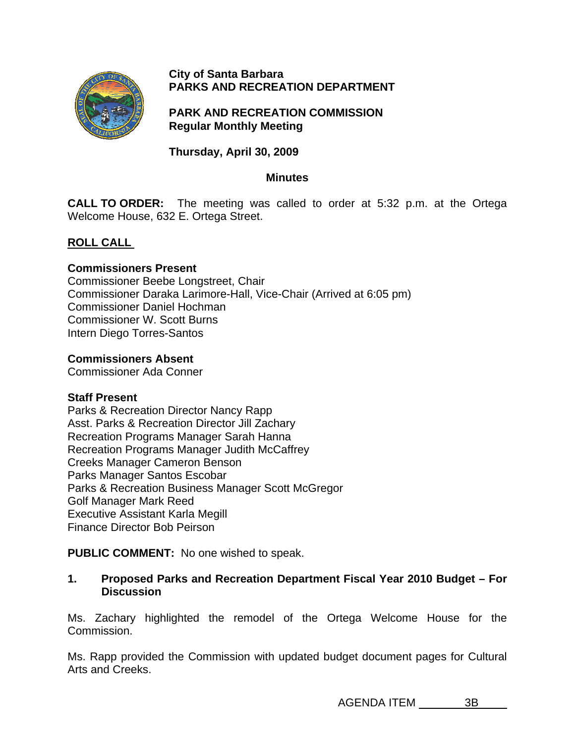

#### **City of Santa Barbara PARKS AND RECREATION DEPARTMENT**

# **PARK AND RECREATION COMMISSION Regular Monthly Meeting**

**Thursday, April 30, 2009** 

#### **Minutes**

**CALL TO ORDER:** The meeting was called to order at 5:32 p.m. at the Ortega Welcome House, 632 E. Ortega Street.

# **[ROLL CALL](http://santabarbara.granicus.com/MediaPlayerFrameHandler.php?view_id=&clip_id=2207&meta_id=105501)**

#### **Commissioners Present**

Commissioner Beebe Longstreet, Chair Commissioner Daraka Larimore-Hall, Vice-Chair (Arrived at 6:05 pm) Commissioner Daniel Hochman Commissioner W. Scott Burns Intern Diego Torres-Santos

#### **Commissioners Absent**

Commissioner Ada Conner

#### **Staff Present**

Parks & Recreation Director Nancy Rapp Asst. Parks & Recreation Director Jill Zachary Recreation Programs Manager Sarah Hanna Recreation Programs Manager Judith McCaffrey Creeks Manager Cameron Benson Parks Manager Santos Escobar Parks & Recreation Business Manager Scott McGregor Golf Manager Mark Reed Executive Assistant Karla Megill Finance Director Bob Peirson

**PUBLIC COMMENT:** No one wished to speak.

### **1. Proposed Parks and Recreation Department Fiscal Year 2010 Budget – For Discussion**

Ms. Zachary highlighted the remodel of the Ortega Welcome House for the Commission.

Ms. Rapp provided the Commission with updated budget document pages for Cultural Arts and Creeks.

AGENDA ITEM 3B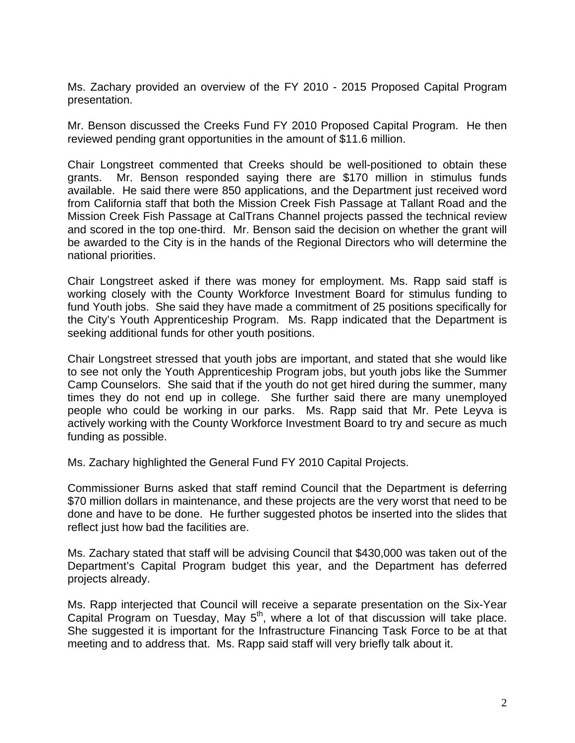Ms. Zachary provided an overview of the FY 2010 - 2015 Proposed Capital Program presentation.

Mr. Benson discussed the Creeks Fund FY 2010 Proposed Capital Program. He then reviewed pending grant opportunities in the amount of \$11.6 million.

Chair Longstreet commented that Creeks should be well-positioned to obtain these grants. Mr. Benson responded saying there are \$170 million in stimulus funds available. He said there were 850 applications, and the Department just received word from California staff that both the Mission Creek Fish Passage at Tallant Road and the Mission Creek Fish Passage at CalTrans Channel projects passed the technical review and scored in the top one-third. Mr. Benson said the decision on whether the grant will be awarded to the City is in the hands of the Regional Directors who will determine the national priorities.

Chair Longstreet asked if there was money for employment. Ms. Rapp said staff is working closely with the County Workforce Investment Board for stimulus funding to fund Youth jobs. She said they have made a commitment of 25 positions specifically for the City's Youth Apprenticeship Program. Ms. Rapp indicated that the Department is seeking additional funds for other youth positions.

Chair Longstreet stressed that youth jobs are important, and stated that she would like to see not only the Youth Apprenticeship Program jobs, but youth jobs like the Summer Camp Counselors. She said that if the youth do not get hired during the summer, many times they do not end up in college. She further said there are many unemployed people who could be working in our parks. Ms. Rapp said that Mr. Pete Leyva is actively working with the County Workforce Investment Board to try and secure as much funding as possible.

Ms. Zachary highlighted the General Fund FY 2010 Capital Projects.

Commissioner Burns asked that staff remind Council that the Department is deferring \$70 million dollars in maintenance, and these projects are the very worst that need to be done and have to be done. He further suggested photos be inserted into the slides that reflect just how bad the facilities are.

Ms. Zachary stated that staff will be advising Council that \$430,000 was taken out of the Department's Capital Program budget this year, and the Department has deferred projects already.

Ms. Rapp interjected that Council will receive a separate presentation on the Six-Year Capital Program on Tuesday, May  $5<sup>th</sup>$ , where a lot of that discussion will take place. She suggested it is important for the Infrastructure Financing Task Force to be at that meeting and to address that. Ms. Rapp said staff will very briefly talk about it.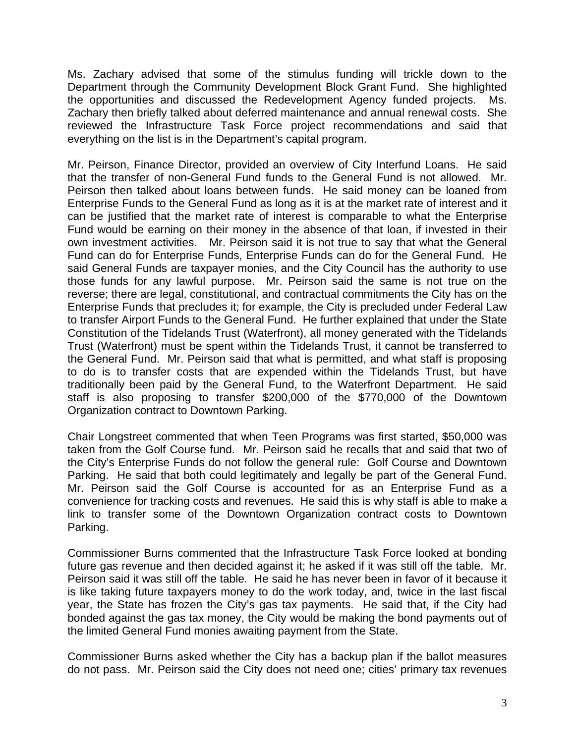Ms. Zachary advised that some of the stimulus funding will trickle down to the Department through the Community Development Block Grant Fund. She highlighted the opportunities and discussed the Redevelopment Agency funded projects. Ms. Zachary then briefly talked about deferred maintenance and annual renewal costs. She reviewed the Infrastructure Task Force project recommendations and said that everything on the list is in the Department's capital program.

Mr. Peirson, Finance Director, provided an overview of City Interfund Loans. He said that the transfer of non-General Fund funds to the General Fund is not allowed. Mr. Peirson then talked about loans between funds. He said money can be loaned from Enterprise Funds to the General Fund as long as it is at the market rate of interest and it can be justified that the market rate of interest is comparable to what the Enterprise Fund would be earning on their money in the absence of that loan, if invested in their own investment activities. Mr. Peirson said it is not true to say that what the General Fund can do for Enterprise Funds, Enterprise Funds can do for the General Fund. He said General Funds are taxpayer monies, and the City Council has the authority to use those funds for any lawful purpose. Mr. Peirson said the same is not true on the reverse; there are legal, constitutional, and contractual commitments the City has on the Enterprise Funds that precludes it; for example, the City is precluded under Federal Law to transfer Airport Funds to the General Fund. He further explained that under the State Constitution of the Tidelands Trust (Waterfront), all money generated with the Tidelands Trust (Waterfront) must be spent within the Tidelands Trust, it cannot be transferred to the General Fund. Mr. Peirson said that what is permitted, and what staff is proposing to do is to transfer costs that are expended within the Tidelands Trust, but have traditionally been paid by the General Fund, to the Waterfront Department. He said staff is also proposing to transfer \$200,000 of the \$770,000 of the Downtown Organization contract to Downtown Parking.

Chair Longstreet commented that when Teen Programs was first started, \$50,000 was taken from the Golf Course fund. Mr. Peirson said he recalls that and said that two of the City's Enterprise Funds do not follow the general rule: Golf Course and Downtown Parking. He said that both could legitimately and legally be part of the General Fund. Mr. Peirson said the Golf Course is accounted for as an Enterprise Fund as a convenience for tracking costs and revenues. He said this is why staff is able to make a link to transfer some of the Downtown Organization contract costs to Downtown Parking.

Commissioner Burns commented that the Infrastructure Task Force looked at bonding future gas revenue and then decided against it; he asked if it was still off the table. Mr. Peirson said it was still off the table. He said he has never been in favor of it because it is like taking future taxpayers money to do the work today, and, twice in the last fiscal year, the State has frozen the City's gas tax payments. He said that, if the City had bonded against the gas tax money, the City would be making the bond payments out of the limited General Fund monies awaiting payment from the State.

Commissioner Burns asked whether the City has a backup plan if the ballot measures do not pass. Mr. Peirson said the City does not need one; cities' primary tax revenues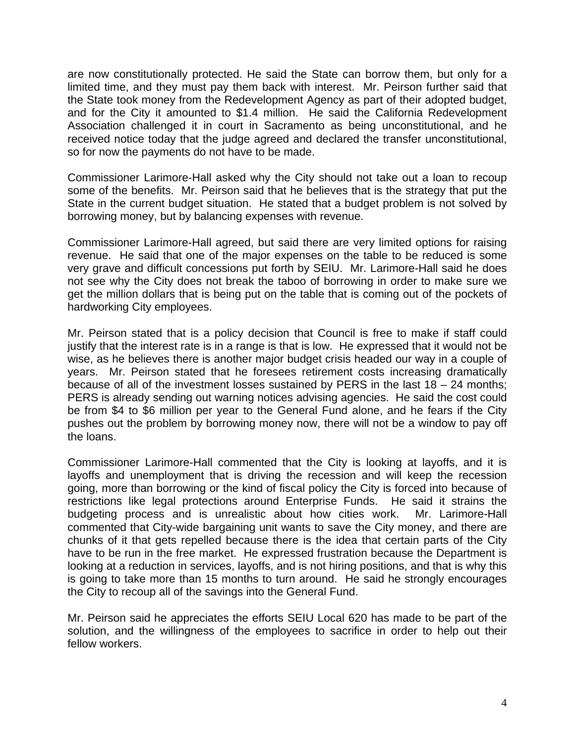are now constitutionally protected. He said the State can borrow them, but only for a limited time, and they must pay them back with interest. Mr. Peirson further said that the State took money from the Redevelopment Agency as part of their adopted budget, and for the City it amounted to \$1.4 million. He said the California Redevelopment Association challenged it in court in Sacramento as being unconstitutional, and he received notice today that the judge agreed and declared the transfer unconstitutional, so for now the payments do not have to be made.

Commissioner Larimore-Hall asked why the City should not take out a loan to recoup some of the benefits. Mr. Peirson said that he believes that is the strategy that put the State in the current budget situation. He stated that a budget problem is not solved by borrowing money, but by balancing expenses with revenue.

Commissioner Larimore-Hall agreed, but said there are very limited options for raising revenue. He said that one of the major expenses on the table to be reduced is some very grave and difficult concessions put forth by SEIU. Mr. Larimore-Hall said he does not see why the City does not break the taboo of borrowing in order to make sure we get the million dollars that is being put on the table that is coming out of the pockets of hardworking City employees.

Mr. Peirson stated that is a policy decision that Council is free to make if staff could justify that the interest rate is in a range is that is low. He expressed that it would not be wise, as he believes there is another major budget crisis headed our way in a couple of years. Mr. Peirson stated that he foresees retirement costs increasing dramatically because of all of the investment losses sustained by PERS in the last 18 – 24 months; PERS is already sending out warning notices advising agencies. He said the cost could be from \$4 to \$6 million per year to the General Fund alone, and he fears if the City pushes out the problem by borrowing money now, there will not be a window to pay off the loans.

Commissioner Larimore-Hall commented that the City is looking at layoffs, and it is layoffs and unemployment that is driving the recession and will keep the recession going, more than borrowing or the kind of fiscal policy the City is forced into because of restrictions like legal protections around Enterprise Funds. He said it strains the budgeting process and is unrealistic about how cities work. Mr. Larimore-Hall commented that City-wide bargaining unit wants to save the City money, and there are chunks of it that gets repelled because there is the idea that certain parts of the City have to be run in the free market. He expressed frustration because the Department is looking at a reduction in services, layoffs, and is not hiring positions, and that is why this is going to take more than 15 months to turn around. He said he strongly encourages the City to recoup all of the savings into the General Fund.

Mr. Peirson said he appreciates the efforts SEIU Local 620 has made to be part of the solution, and the willingness of the employees to sacrifice in order to help out their fellow workers.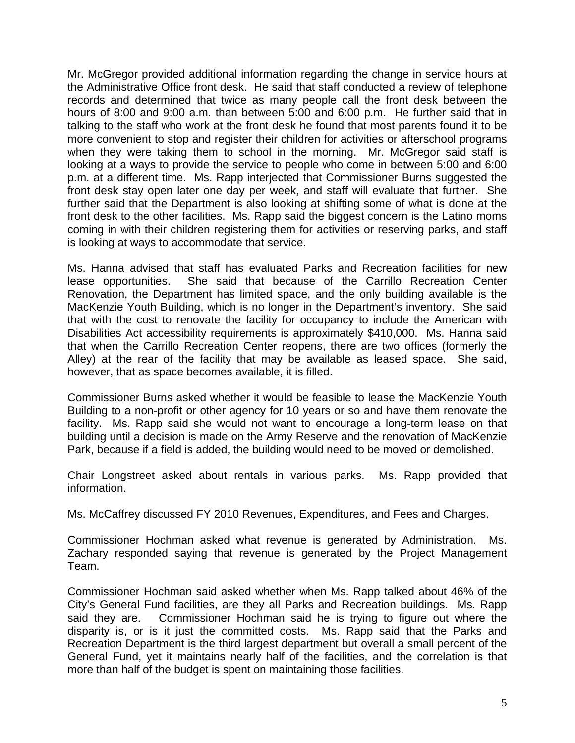Mr. McGregor provided additional information regarding the change in service hours at the Administrative Office front desk. He said that staff conducted a review of telephone records and determined that twice as many people call the front desk between the hours of 8:00 and 9:00 a.m. than between 5:00 and 6:00 p.m. He further said that in talking to the staff who work at the front desk he found that most parents found it to be more convenient to stop and register their children for activities or afterschool programs when they were taking them to school in the morning. Mr. McGregor said staff is looking at a ways to provide the service to people who come in between 5:00 and 6:00 p.m. at a different time. Ms. Rapp interjected that Commissioner Burns suggested the front desk stay open later one day per week, and staff will evaluate that further. She further said that the Department is also looking at shifting some of what is done at the front desk to the other facilities. Ms. Rapp said the biggest concern is the Latino moms coming in with their children registering them for activities or reserving parks, and staff is looking at ways to accommodate that service.

Ms. Hanna advised that staff has evaluated Parks and Recreation facilities for new lease opportunities. She said that because of the Carrillo Recreation Center Renovation, the Department has limited space, and the only building available is the MacKenzie Youth Building, which is no longer in the Department's inventory. She said that with the cost to renovate the facility for occupancy to include the American with Disabilities Act accessibility requirements is approximately \$410,000. Ms. Hanna said that when the Carrillo Recreation Center reopens, there are two offices (formerly the Alley) at the rear of the facility that may be available as leased space. She said, however, that as space becomes available, it is filled.

Commissioner Burns asked whether it would be feasible to lease the MacKenzie Youth Building to a non-profit or other agency for 10 years or so and have them renovate the facility. Ms. Rapp said she would not want to encourage a long-term lease on that building until a decision is made on the Army Reserve and the renovation of MacKenzie Park, because if a field is added, the building would need to be moved or demolished.

Chair Longstreet asked about rentals in various parks. Ms. Rapp provided that information.

Ms. McCaffrey discussed FY 2010 Revenues, Expenditures, and Fees and Charges.

Commissioner Hochman asked what revenue is generated by Administration. Ms. Zachary responded saying that revenue is generated by the Project Management Team.

Commissioner Hochman said asked whether when Ms. Rapp talked about 46% of the City's General Fund facilities, are they all Parks and Recreation buildings. Ms. Rapp said they are. Commissioner Hochman said he is trying to figure out where the disparity is, or is it just the committed costs. Ms. Rapp said that the Parks and Recreation Department is the third largest department but overall a small percent of the General Fund, yet it maintains nearly half of the facilities, and the correlation is that more than half of the budget is spent on maintaining those facilities.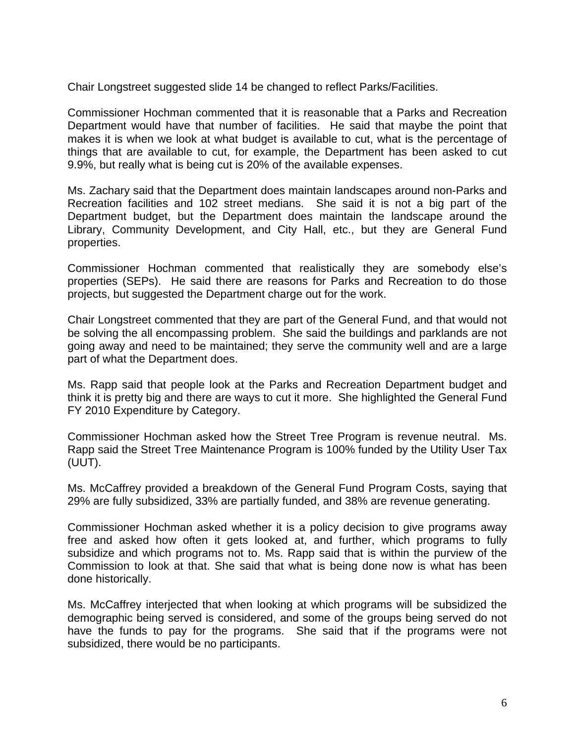Chair Longstreet suggested slide 14 be changed to reflect Parks/Facilities.

Commissioner Hochman commented that it is reasonable that a Parks and Recreation Department would have that number of facilities. He said that maybe the point that makes it is when we look at what budget is available to cut, what is the percentage of things that are available to cut, for example, the Department has been asked to cut 9.9%, but really what is being cut is 20% of the available expenses.

Ms. Zachary said that the Department does maintain landscapes around non-Parks and Recreation facilities and 102 street medians. She said it is not a big part of the Department budget, but the Department does maintain the landscape around the Library, Community Development, and City Hall, etc., but they are General Fund properties.

Commissioner Hochman commented that realistically they are somebody else's properties (SEPs). He said there are reasons for Parks and Recreation to do those projects, but suggested the Department charge out for the work.

Chair Longstreet commented that they are part of the General Fund, and that would not be solving the all encompassing problem. She said the buildings and parklands are not going away and need to be maintained; they serve the community well and are a large part of what the Department does.

Ms. Rapp said that people look at the Parks and Recreation Department budget and think it is pretty big and there are ways to cut it more. She highlighted the General Fund FY 2010 Expenditure by Category.

Commissioner Hochman asked how the Street Tree Program is revenue neutral. Ms. Rapp said the Street Tree Maintenance Program is 100% funded by the Utility User Tax (UUT).

Ms. McCaffrey provided a breakdown of the General Fund Program Costs, saying that 29% are fully subsidized, 33% are partially funded, and 38% are revenue generating.

Commissioner Hochman asked whether it is a policy decision to give programs away free and asked how often it gets looked at, and further, which programs to fully subsidize and which programs not to. Ms. Rapp said that is within the purview of the Commission to look at that. She said that what is being done now is what has been done historically.

Ms. McCaffrey interjected that when looking at which programs will be subsidized the demographic being served is considered, and some of the groups being served do not have the funds to pay for the programs. She said that if the programs were not subsidized, there would be no participants.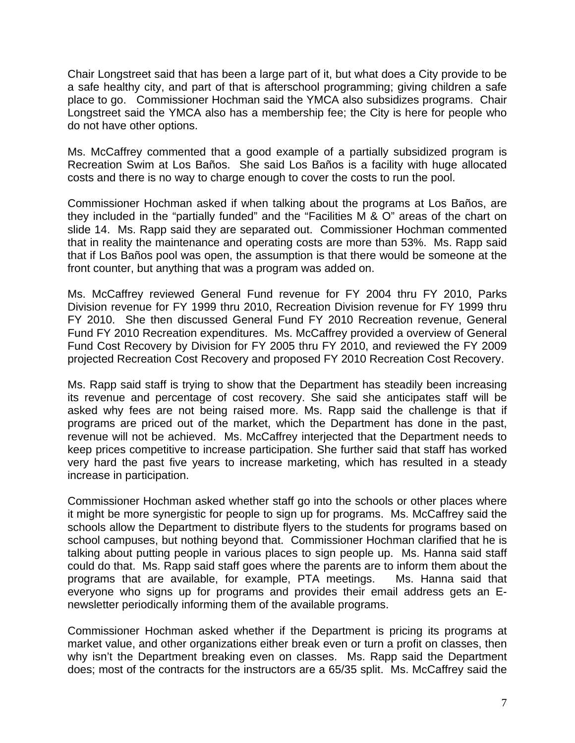Chair Longstreet said that has been a large part of it, but what does a City provide to be a safe healthy city, and part of that is afterschool programming; giving children a safe place to go. Commissioner Hochman said the YMCA also subsidizes programs. Chair Longstreet said the YMCA also has a membership fee; the City is here for people who do not have other options.

Ms. McCaffrey commented that a good example of a partially subsidized program is Recreation Swim at Los Baños. She said Los Baños is a facility with huge allocated costs and there is no way to charge enough to cover the costs to run the pool.

Commissioner Hochman asked if when talking about the programs at Los Baños, are they included in the "partially funded" and the "Facilities M & O" areas of the chart on slide 14. Ms. Rapp said they are separated out. Commissioner Hochman commented that in reality the maintenance and operating costs are more than 53%. Ms. Rapp said that if Los Baños pool was open, the assumption is that there would be someone at the front counter, but anything that was a program was added on.

Ms. McCaffrey reviewed General Fund revenue for FY 2004 thru FY 2010, Parks Division revenue for FY 1999 thru 2010, Recreation Division revenue for FY 1999 thru FY 2010. She then discussed General Fund FY 2010 Recreation revenue, General Fund FY 2010 Recreation expenditures. Ms. McCaffrey provided a overview of General Fund Cost Recovery by Division for FY 2005 thru FY 2010, and reviewed the FY 2009 projected Recreation Cost Recovery and proposed FY 2010 Recreation Cost Recovery.

Ms. Rapp said staff is trying to show that the Department has steadily been increasing its revenue and percentage of cost recovery. She said she anticipates staff will be asked why fees are not being raised more. Ms. Rapp said the challenge is that if programs are priced out of the market, which the Department has done in the past, revenue will not be achieved. Ms. McCaffrey interjected that the Department needs to keep prices competitive to increase participation. She further said that staff has worked very hard the past five years to increase marketing, which has resulted in a steady increase in participation.

Commissioner Hochman asked whether staff go into the schools or other places where it might be more synergistic for people to sign up for programs. Ms. McCaffrey said the schools allow the Department to distribute flyers to the students for programs based on school campuses, but nothing beyond that. Commissioner Hochman clarified that he is talking about putting people in various places to sign people up. Ms. Hanna said staff could do that. Ms. Rapp said staff goes where the parents are to inform them about the programs that are available, for example, PTA meetings. Ms. Hanna said that everyone who signs up for programs and provides their email address gets an Enewsletter periodically informing them of the available programs.

Commissioner Hochman asked whether if the Department is pricing its programs at market value, and other organizations either break even or turn a profit on classes, then why isn't the Department breaking even on classes. Ms. Rapp said the Department does; most of the contracts for the instructors are a 65/35 split. Ms. McCaffrey said the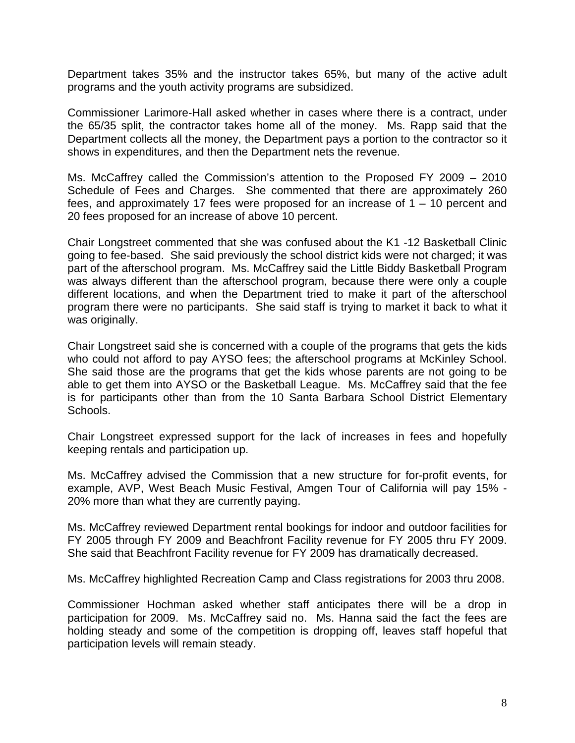Department takes 35% and the instructor takes 65%, but many of the active adult programs and the youth activity programs are subsidized.

Commissioner Larimore-Hall asked whether in cases where there is a contract, under the 65/35 split, the contractor takes home all of the money. Ms. Rapp said that the Department collects all the money, the Department pays a portion to the contractor so it shows in expenditures, and then the Department nets the revenue.

Ms. McCaffrey called the Commission's attention to the Proposed FY 2009 – 2010 Schedule of Fees and Charges. She commented that there are approximately 260 fees, and approximately 17 fees were proposed for an increase of  $1 - 10$  percent and 20 fees proposed for an increase of above 10 percent.

Chair Longstreet commented that she was confused about the K1 -12 Basketball Clinic going to fee-based. She said previously the school district kids were not charged; it was part of the afterschool program. Ms. McCaffrey said the Little Biddy Basketball Program was always different than the afterschool program, because there were only a couple different locations, and when the Department tried to make it part of the afterschool program there were no participants. She said staff is trying to market it back to what it was originally.

Chair Longstreet said she is concerned with a couple of the programs that gets the kids who could not afford to pay AYSO fees; the afterschool programs at McKinley School. She said those are the programs that get the kids whose parents are not going to be able to get them into AYSO or the Basketball League. Ms. McCaffrey said that the fee is for participants other than from the 10 Santa Barbara School District Elementary Schools.

Chair Longstreet expressed support for the lack of increases in fees and hopefully keeping rentals and participation up.

Ms. McCaffrey advised the Commission that a new structure for for-profit events, for example, AVP, West Beach Music Festival, Amgen Tour of California will pay 15% - 20% more than what they are currently paying.

Ms. McCaffrey reviewed Department rental bookings for indoor and outdoor facilities for FY 2005 through FY 2009 and Beachfront Facility revenue for FY 2005 thru FY 2009. She said that Beachfront Facility revenue for FY 2009 has dramatically decreased.

Ms. McCaffrey highlighted Recreation Camp and Class registrations for 2003 thru 2008.

Commissioner Hochman asked whether staff anticipates there will be a drop in participation for 2009. Ms. McCaffrey said no. Ms. Hanna said the fact the fees are holding steady and some of the competition is dropping off, leaves staff hopeful that participation levels will remain steady.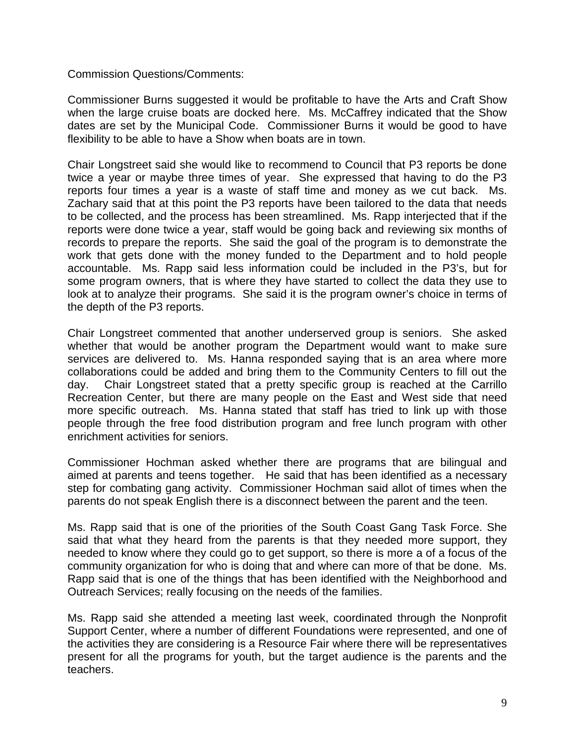Commission Questions/Comments:

Commissioner Burns suggested it would be profitable to have the Arts and Craft Show when the large cruise boats are docked here. Ms. McCaffrey indicated that the Show dates are set by the Municipal Code. Commissioner Burns it would be good to have flexibility to be able to have a Show when boats are in town.

Chair Longstreet said she would like to recommend to Council that P3 reports be done twice a year or maybe three times of year. She expressed that having to do the P3 reports four times a year is a waste of staff time and money as we cut back. Ms. Zachary said that at this point the P3 reports have been tailored to the data that needs to be collected, and the process has been streamlined. Ms. Rapp interjected that if the reports were done twice a year, staff would be going back and reviewing six months of records to prepare the reports. She said the goal of the program is to demonstrate the work that gets done with the money funded to the Department and to hold people accountable. Ms. Rapp said less information could be included in the P3's, but for some program owners, that is where they have started to collect the data they use to look at to analyze their programs. She said it is the program owner's choice in terms of the depth of the P3 reports.

Chair Longstreet commented that another underserved group is seniors. She asked whether that would be another program the Department would want to make sure services are delivered to. Ms. Hanna responded saying that is an area where more collaborations could be added and bring them to the Community Centers to fill out the day. Chair Longstreet stated that a pretty specific group is reached at the Carrillo Recreation Center, but there are many people on the East and West side that need more specific outreach. Ms. Hanna stated that staff has tried to link up with those people through the free food distribution program and free lunch program with other enrichment activities for seniors.

Commissioner Hochman asked whether there are programs that are bilingual and aimed at parents and teens together. He said that has been identified as a necessary step for combating gang activity. Commissioner Hochman said allot of times when the parents do not speak English there is a disconnect between the parent and the teen.

Ms. Rapp said that is one of the priorities of the South Coast Gang Task Force. She said that what they heard from the parents is that they needed more support, they needed to know where they could go to get support, so there is more a of a focus of the community organization for who is doing that and where can more of that be done. Ms. Rapp said that is one of the things that has been identified with the Neighborhood and Outreach Services; really focusing on the needs of the families.

Ms. Rapp said she attended a meeting last week, coordinated through the Nonprofit Support Center, where a number of different Foundations were represented, and one of the activities they are considering is a Resource Fair where there will be representatives present for all the programs for youth, but the target audience is the parents and the teachers.